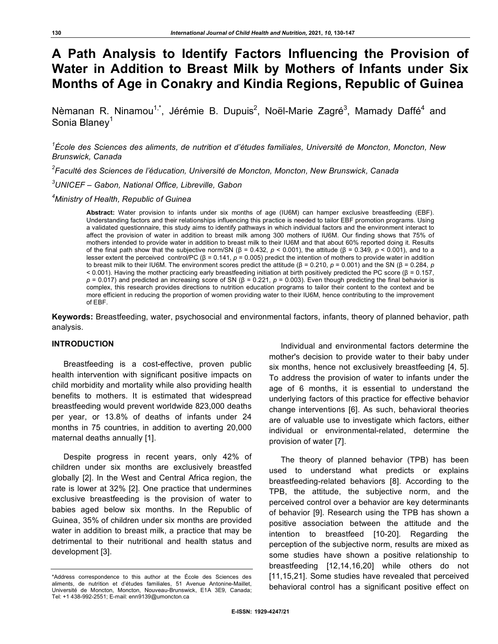# **A Path Analysis to Identify Factors Influencing the Provision of Water in Addition to Breast Milk by Mothers of Infants under Six Months of Age in Conakry and Kindia Regions, Republic of Guinea**

Nèmanan R. Ninamou<sup>1,\*</sup>, Jérémie B. Dupuis<sup>2</sup>, Noël-Marie Zagré<sup>3</sup>, Mamady Daffé<sup>4</sup> and Sonia Blanev<sup>1</sup>

*1 École des Sciences des aliments, de nutrition et d'études familiales, Université de Moncton, Moncton, New Brunswick, Canada*

*2 Faculté des Sciences de l'éducation, Université de Moncton, Moncton, New Brunswick, Canada*

*3 UNICEF – Gabon, National Office, Libreville, Gabon*

*4 Ministry of Health, Republic of Guinea* 

**Abstract:** Water provision to infants under six months of age (IU6M) can hamper exclusive breastfeeding (EBF). Understanding factors and their relationships influencing this practice is needed to tailor EBF promotion programs. Using a validated questionnaire, this study aims to identify pathways in which individual factors and the environment interact to affect the provision of water in addition to breast milk among 300 mothers of IU6M. Our finding shows that 75% of mothers intended to provide water in addition to breast milk to their IU6M and that about 60% reported doing it. Results of the final path show that the subjective norm/SN (β = 0.432,  $p < 0.001$ ), the attitude (β = 0.349,  $p < 0.001$ ), and to a lesser extent the perceived control/PC (β = 0.141, *p* = 0.005) predict the intention of mothers to provide water in addition to breast milk to their IU6M. The environment scores predict the attitude (β = 0.210, *p* = 0.001) and the SN (β = 0.284, *p* < 0.001). Having the mother practicing early breastfeeding initiation at birth positively predicted the PC score (β = 0.157, *) and predicted an increasing score of SN (β = 0.221, <i>p* = 0.003). Even though predicting the final behavior is complex, this research provides directions to nutrition education programs to tailor their content to the context and be more efficient in reducing the proportion of women providing water to their IU6M, hence contributing to the improvement of EBF.

**Keywords:** Breastfeeding, water, psychosocial and environmental factors, infants, theory of planned behavior, path analysis.

## **INTRODUCTION**

Breastfeeding is a cost-effective, proven public health intervention with significant positive impacts on child morbidity and mortality while also providing health benefits to mothers. It is estimated that widespread breastfeeding would prevent worldwide 823,000 deaths per year, or 13.8% of deaths of infants under 24 months in 75 countries, in addition to averting 20,000 maternal deaths annually [1].

Despite progress in recent years, only 42% of children under six months are exclusively breastfed globally [2]. In the West and Central Africa region, the rate is lower at 32% [2]. One practice that undermines exclusive breastfeeding is the provision of water to babies aged below six months. In the Republic of Guinea, 35% of children under six months are provided water in addition to breast milk, a practice that may be detrimental to their nutritional and health status and development [3].

Individual and environmental factors determine the mother's decision to provide water to their baby under six months, hence not exclusively breastfeeding [4, 5]. To address the provision of water to infants under the age of 6 months, it is essential to understand the underlying factors of this practice for effective behavior change interventions [6]. As such, behavioral theories are of valuable use to investigate which factors, either individual or environmental-related, determine the provision of water [7].

The theory of planned behavior (TPB) has been used to understand what predicts or explains breastfeeding-related behaviors [8]. According to the TPB, the attitude, the subjective norm, and the perceived control over a behavior are key determinants of behavior [9]. Research using the TPB has shown a positive association between the attitude and the intention to breastfeed [10-20]. Regarding the perception of the subjective norm, results are mixed as some studies have shown a positive relationship to breastfeeding [12,14,16,20] while others do not [11,15,21]. Some studies have revealed that perceived behavioral control has a significant positive effect on

<sup>\*</sup>Address correspondence to this author at the École des Sciences des aliments, de nutrition et d'études familiales, 51 Avenue Antonine-Maillet, Université de Moncton, Moncton, Nouveau-Brunswick, E1A 3E9, Canada; Tel: +1 438-992-2551; E-mail: enn9139@umoncton.ca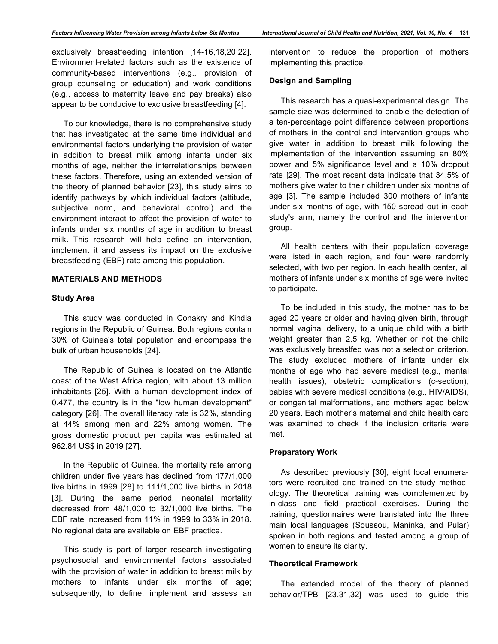exclusively breastfeeding intention [14-16,18,20,22]. Environment-related factors such as the existence of community-based interventions (e.g., provision of group counseling or education) and work conditions (e.g., access to maternity leave and pay breaks) also appear to be conducive to exclusive breastfeeding [4].

To our knowledge, there is no comprehensive study that has investigated at the same time individual and environmental factors underlying the provision of water in addition to breast milk among infants under six months of age, neither the interrelationships between these factors. Therefore, using an extended version of the theory of planned behavior [23], this study aims to identify pathways by which individual factors (attitude, subjective norm, and behavioral control) and the environment interact to affect the provision of water to infants under six months of age in addition to breast milk. This research will help define an intervention, implement it and assess its impact on the exclusive breastfeeding (EBF) rate among this population.

## **MATERIALS AND METHODS**

#### **Study Area**

This study was conducted in Conakry and Kindia regions in the Republic of Guinea. Both regions contain 30% of Guinea's total population and encompass the bulk of urban households [24].

The Republic of Guinea is located on the Atlantic coast of the West Africa region, with about 13 million inhabitants [25]. With a human development index of 0.477, the country is in the "low human development" category [26]. The overall literacy rate is 32%, standing at 44% among men and 22% among women. The gross domestic product per capita was estimated at 962.84 US\$ in 2019 [27].

In the Republic of Guinea, the mortality rate among children under five years has declined from 177/1,000 live births in 1999 [28] to 111/1,000 live births in 2018 [3]. During the same period, neonatal mortality decreased from 48/1,000 to 32/1,000 live births. The EBF rate increased from 11% in 1999 to 33% in 2018. No regional data are available on EBF practice.

This study is part of larger research investigating psychosocial and environmental factors associated with the provision of water in addition to breast milk by mothers to infants under six months of age; subsequently, to define, implement and assess an

intervention to reduce the proportion of mothers implementing this practice.

## **Design and Sampling**

This research has a quasi-experimental design. The sample size was determined to enable the detection of a ten-percentage point difference between proportions of mothers in the control and intervention groups who give water in addition to breast milk following the implementation of the intervention assuming an 80% power and 5% significance level and a 10% dropout rate [29]. The most recent data indicate that 34.5% of mothers give water to their children under six months of age [3]. The sample included 300 mothers of infants under six months of age, with 150 spread out in each study's arm, namely the control and the intervention group.

All health centers with their population coverage were listed in each region, and four were randomly selected, with two per region. In each health center, all mothers of infants under six months of age were invited to participate.

To be included in this study, the mother has to be aged 20 years or older and having given birth, through normal vaginal delivery, to a unique child with a birth weight greater than 2.5 kg. Whether or not the child was exclusively breastfed was not a selection criterion. The study excluded mothers of infants under six months of age who had severe medical (e.g., mental health issues), obstetric complications (c-section), babies with severe medical conditions (e.g., HIV/AIDS), or congenital malformations, and mothers aged below 20 years. Each mother's maternal and child health card was examined to check if the inclusion criteria were met.

## **Preparatory Work**

As described previously [30], eight local enumerators were recruited and trained on the study methodology. The theoretical training was complemented by in-class and field practical exercises. During the training, questionnaires were translated into the three main local languages (Soussou, Maninka, and Pular) spoken in both regions and tested among a group of women to ensure its clarity.

## **Theoretical Framework**

The extended model of the theory of planned behavior/TPB [23,31,32] was used to guide this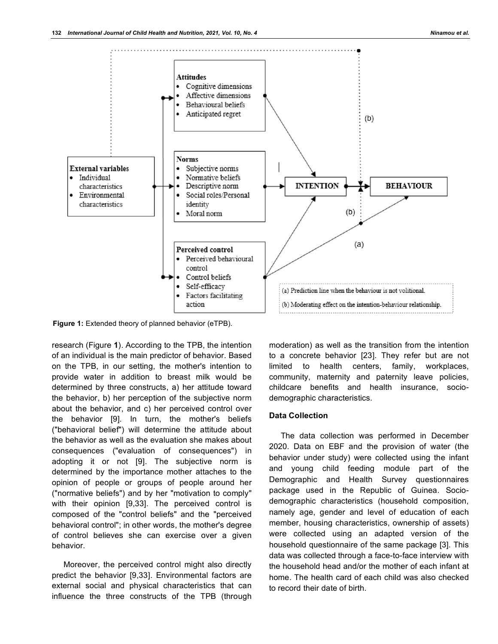

**Figure 1:** Extended theory of planned behavior (eTPB).

research (Figure **1**). According to the TPB, the intention of an individual is the main predictor of behavior. Based on the TPB, in our setting, the mother's intention to provide water in addition to breast milk would be determined by three constructs, a) her attitude toward the behavior, b) her perception of the subjective norm about the behavior, and c) her perceived control over the behavior [9]. In turn, the mother's beliefs ("behavioral belief") will determine the attitude about the behavior as well as the evaluation she makes about consequences ("evaluation of consequences") in adopting it or not [9]. The subjective norm is determined by the importance mother attaches to the opinion of people or groups of people around her ("normative beliefs") and by her "motivation to comply" with their opinion [9,33]. The perceived control is composed of the "control beliefs" and the "perceived behavioral control"; in other words, the mother's degree of control believes she can exercise over a given behavior.

Moreover, the perceived control might also directly predict the behavior [9,33]. Environmental factors are external social and physical characteristics that can influence the three constructs of the TPB (through

moderation) as well as the transition from the intention to a concrete behavior [23]. They refer but are not limited to health centers, family, workplaces, community, maternity and paternity leave policies, childcare benefits and health insurance, sociodemographic characteristics.

## **Data Collection**

The data collection was performed in December 2020. Data on EBF and the provision of water (the behavior under study) were collected using the infant and young child feeding module part of the Demographic and Health Survey questionnaires package used in the Republic of Guinea. Sociodemographic characteristics (household composition, namely age, gender and level of education of each member, housing characteristics, ownership of assets) were collected using an adapted version of the household questionnaire of the same package [3]. This data was collected through a face-to-face interview with the household head and/or the mother of each infant at home. The health card of each child was also checked to record their date of birth.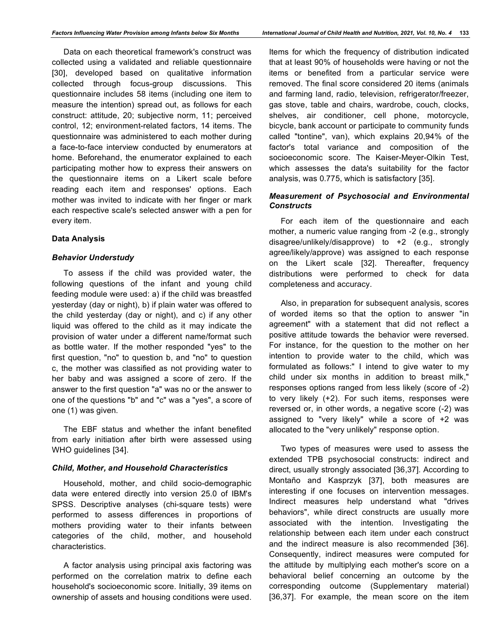Data on each theoretical framework's construct was collected using a validated and reliable questionnaire [30], developed based on qualitative information collected through focus-group discussions. This questionnaire includes 58 items (including one item to measure the intention) spread out, as follows for each construct: attitude, 20; subjective norm, 11; perceived control, 12; environment-related factors, 14 items. The questionnaire was administered to each mother during a face-to-face interview conducted by enumerators at home. Beforehand, the enumerator explained to each participating mother how to express their answers on the questionnaire items on a Likert scale before reading each item and responses' options. Each mother was invited to indicate with her finger or mark each respective scale's selected answer with a pen for every item.

#### **Data Analysis**

#### *Behavior Understudy*

To assess if the child was provided water, the following questions of the infant and young child feeding module were used: a) if the child was breastfed yesterday (day or night), b) if plain water was offered to the child yesterday (day or night), and c) if any other liquid was offered to the child as it may indicate the provision of water under a different name/format such as bottle water. If the mother responded "yes" to the first question, "no" to question b, and "no" to question c, the mother was classified as not providing water to her baby and was assigned a score of zero. If the answer to the first question "a" was no or the answer to one of the questions "b" and "c" was a "yes", a score of one (1) was given.

The EBF status and whether the infant benefited from early initiation after birth were assessed using WHO guidelines [34].

#### *Child, Mother, and Household Characteristics*

Household, mother, and child socio-demographic data were entered directly into version 25.0 of IBM's SPSS. Descriptive analyses (chi-square tests) were performed to assess differences in proportions of mothers providing water to their infants between categories of the child, mother, and household characteristics.

A factor analysis using principal axis factoring was performed on the correlation matrix to define each household's socioeconomic score. Initially, 39 items on ownership of assets and housing conditions were used.

Items for which the frequency of distribution indicated that at least 90% of households were having or not the items or benefited from a particular service were removed. The final score considered 20 items (animals and farming land, radio, television, refrigerator/freezer, gas stove, table and chairs, wardrobe, couch, clocks, shelves, air conditioner, cell phone, motorcycle, bicycle, bank account or participate to community funds called "tontine", van), which explains 20,94% of the factor's total variance and composition of the socioeconomic score. The Kaiser-Meyer-Olkin Test, which assesses the data's suitability for the factor analysis, was 0.775, which is satisfactory [35].

## *Measurement of Psychosocial and Environmental Constructs*

For each item of the questionnaire and each mother, a numeric value ranging from -2 (e.g., strongly disagree/unlikely/disapprove) to +2 (e.g., strongly agree/likely/approve) was assigned to each response on the Likert scale [32]. Thereafter, frequency distributions were performed to check for data completeness and accuracy.

Also, in preparation for subsequent analysis, scores of worded items so that the option to answer "in agreement" with a statement that did not reflect a positive attitude towards the behavior were reversed. For instance, for the question to the mother on her intention to provide water to the child, which was formulated as follows:" I intend to give water to my child under six months in addition to breast milk," responses options ranged from less likely (score of -2) to very likely (+2). For such items, responses were reversed or, in other words, a negative score (-2) was assigned to "very likely" while a score of +2 was allocated to the "very unlikely" response option.

Two types of measures were used to assess the extended TPB psychosocial constructs: indirect and direct, usually strongly associated [36,37]. According to Montaño and Kasprzyk [37], both measures are interesting if one focuses on intervention messages. Indirect measures help understand what "drives behaviors", while direct constructs are usually more associated with the intention. Investigating the relationship between each item under each construct and the indirect measure is also recommended [36]. Consequently, indirect measures were computed for the attitude by multiplying each mother's score on a behavioral belief concerning an outcome by the corresponding outcome (Supplementary material) [36,37]. For example, the mean score on the item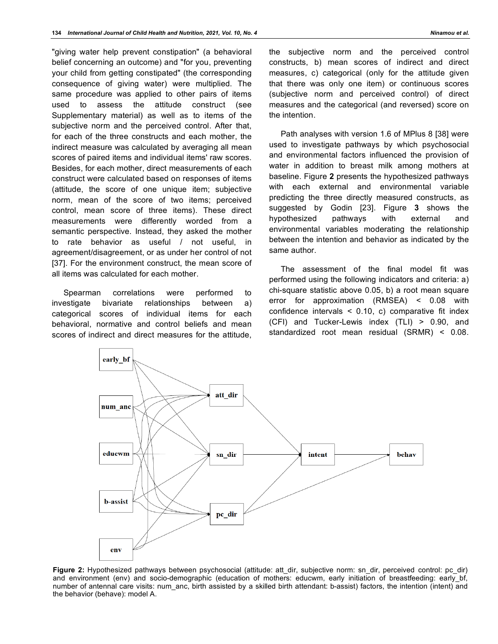"giving water help prevent constipation" (a behavioral belief concerning an outcome) and "for you, preventing your child from getting constipated" (the corresponding consequence of giving water) were multiplied. The same procedure was applied to other pairs of items used to assess the attitude construct (see Supplementary material) as well as to items of the subjective norm and the perceived control. After that, for each of the three constructs and each mother, the indirect measure was calculated by averaging all mean scores of paired items and individual items' raw scores. Besides, for each mother, direct measurements of each construct were calculated based on responses of items (attitude, the score of one unique item; subjective norm, mean of the score of two items; perceived control, mean score of three items). These direct measurements were differently worded from a semantic perspective. Instead, they asked the mother to rate behavior as useful / not useful, in agreement/disagreement, or as under her control of not [37]. For the environment construct, the mean score of all items was calculated for each mother.

Spearman correlations were performed to investigate bivariate relationships between a) categorical scores of individual items for each behavioral, normative and control beliefs and mean scores of indirect and direct measures for the attitude, the subjective norm and the perceived control constructs, b) mean scores of indirect and direct measures, c) categorical (only for the attitude given that there was only one item) or continuous scores (subjective norm and perceived control) of direct measures and the categorical (and reversed) score on the intention.

Path analyses with version 1.6 of MPlus 8 [38] were used to investigate pathways by which psychosocial and environmental factors influenced the provision of water in addition to breast milk among mothers at baseline. Figure **2** presents the hypothesized pathways with each external and environmental variable predicting the three directly measured constructs, as suggested by Godin [23]. Figure **3** shows the hypothesized pathways with external and environmental variables moderating the relationship between the intention and behavior as indicated by the same author.

The assessment of the final model fit was performed using the following indicators and criteria: a) chi-square statistic above 0.05, b) a root mean square error for approximation (RMSEA) < 0.08 with confidence intervals < 0.10, c) comparative fit index (CFI) and Tucker-Lewis index (TLI) > 0.90, and standardized root mean residual (SRMR) < 0.08.



**Figure 2:** Hypothesized pathways between psychosocial (attitude: att\_dir, subjective norm: sn\_dir, perceived control: pc\_dir) and environment (env) and socio-demographic (education of mothers: educwm, early initiation of breastfeeding: early bf, number of antennal care visits: num\_anc, birth assisted by a skilled birth attendant: b-assist) factors, the intention (intent) and the behavior (behave): model A.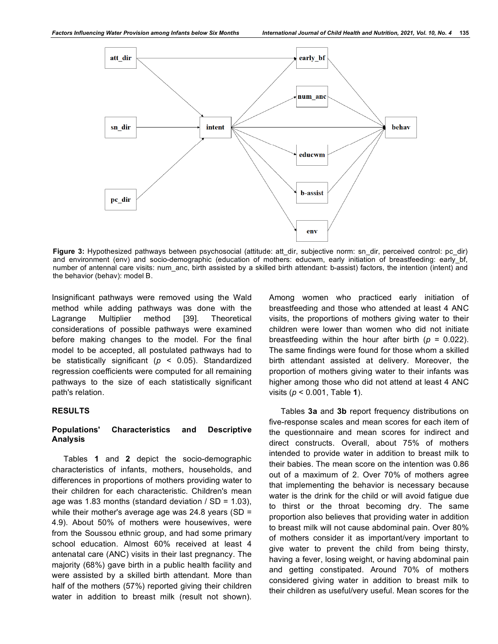

Figure 3: Hypothesized pathways between psychosocial (attitude: att dir, subjective norm: sn\_dir, perceived control: pc\_dir) and environment (env) and socio-demographic (education of mothers: educwm, early initiation of breastfeeding: early bf, number of antennal care visits: num\_anc, birth assisted by a skilled birth attendant: b-assist) factors, the intention (intent) and the behavior (behav): model B.

Insignificant pathways were removed using the Wald method while adding pathways was done with the Lagrange Multiplier method [39]. Theoretical considerations of possible pathways were examined before making changes to the model. For the final model to be accepted, all postulated pathways had to be statistically significant (*p* < 0.05). Standardized regression coefficients were computed for all remaining pathways to the size of each statistically significant path's relation.

#### **RESULTS**

## **Populations' Characteristics and Descriptive Analysis**

Tables **1** and **2** depict the socio-demographic characteristics of infants, mothers, households, and differences in proportions of mothers providing water to their children for each characteristic. Children's mean age was 1.83 months (standard deviation  $/$  SD = 1.03), while their mother's average age was 24.8 years (SD = 4.9). About 50% of mothers were housewives, were from the Soussou ethnic group, and had some primary school education. Almost 60% received at least 4 antenatal care (ANC) visits in their last pregnancy. The majority (68%) gave birth in a public health facility and were assisted by a skilled birth attendant. More than half of the mothers (57%) reported giving their children water in addition to breast milk (result not shown).

Among women who practiced early initiation of breastfeeding and those who attended at least 4 ANC visits, the proportions of mothers giving water to their children were lower than women who did not initiate breastfeeding within the hour after birth  $(p = 0.022)$ . The same findings were found for those whom a skilled birth attendant assisted at delivery. Moreover, the proportion of mothers giving water to their infants was higher among those who did not attend at least 4 ANC visits (*p* < 0.001, Table **1**).

Tables **3a** and **3b** report frequency distributions on five-response scales and mean scores for each item of the questionnaire and mean scores for indirect and direct constructs. Overall, about 75% of mothers intended to provide water in addition to breast milk to their babies. The mean score on the intention was 0.86 out of a maximum of 2. Over 70% of mothers agree that implementing the behavior is necessary because water is the drink for the child or will avoid fatigue due to thirst or the throat becoming dry. The same proportion also believes that providing water in addition to breast milk will not cause abdominal pain. Over 80% of mothers consider it as important/very important to give water to prevent the child from being thirsty, having a fever, losing weight, or having abdominal pain and getting constipated. Around 70% of mothers considered giving water in addition to breast milk to their children as useful/very useful. Mean scores for the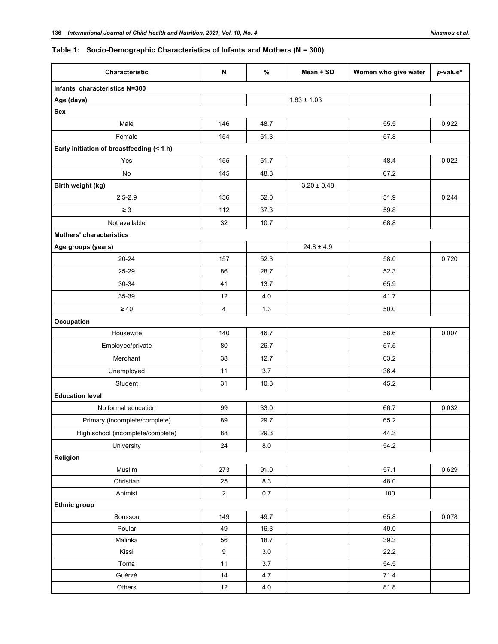## **Table 1: Socio-Demographic Characteristics of Infants and Mothers (N = 300)**

| Characteristic                            | N              | $\%$    | Mean + SD       | Women who give water | $p$ -value* |
|-------------------------------------------|----------------|---------|-----------------|----------------------|-------------|
| Infants characteristics N=300             |                |         |                 |                      |             |
| Age (days)                                |                |         | $1.83 \pm 1.03$ |                      |             |
| Sex                                       |                |         |                 |                      |             |
| Male                                      | 146            | 48.7    |                 | 55.5                 | 0.922       |
| Female                                    | 154            | 51.3    |                 | 57.8                 |             |
| Early initiation of breastfeeding (< 1 h) |                |         |                 |                      |             |
| Yes                                       | 155            | 51.7    |                 | 48.4                 | 0.022       |
| <b>No</b>                                 | 145            | 48.3    |                 | 67.2                 |             |
| Birth weight (kg)                         |                |         | $3.20 \pm 0.48$ |                      |             |
| $2.5 - 2.9$                               | 156            | 52.0    |                 | 51.9                 | 0.244       |
| $\geq 3$                                  | 112            | 37.3    |                 | 59.8                 |             |
| Not available                             | 32             | 10.7    |                 | 68.8                 |             |
| <b>Mothers' characteristics</b>           |                |         |                 |                      |             |
| Age groups (years)                        |                |         | $24.8 \pm 4.9$  |                      |             |
| $20 - 24$                                 | 157            | 52.3    |                 | 58.0                 | 0.720       |
| 25-29                                     | 86             | 28.7    |                 | 52.3                 |             |
| 30-34                                     | 41             | 13.7    |                 | 65.9                 |             |
| 35-39                                     | 12             | 4.0     |                 | 41.7                 |             |
| $\geq 40$                                 | $\overline{4}$ | 1.3     |                 | 50.0                 |             |
| Occupation                                |                |         |                 |                      |             |
| Housewife                                 | 140            | 46.7    |                 | 58.6                 | 0.007       |
| Employee/private                          | 80             | 26.7    |                 | 57.5                 |             |
| Merchant                                  | 38             | 12.7    |                 | 63.2                 |             |
| Unemployed                                | 11             | 3.7     |                 | 36.4                 |             |
| Student                                   | 31             | 10.3    |                 | 45.2                 |             |
| <b>Education level</b>                    |                |         |                 |                      |             |
| No formal education                       | 99             | 33.0    |                 | 66.7                 | 0.032       |
| Primary (incomplete/complete)             | 89             | 29.7    |                 | 65.2                 |             |
| High school (incomplete/complete)         | 88             | 29.3    |                 | 44.3                 |             |
| University                                | 24             | $8.0\,$ |                 | 54.2                 |             |
| Religion                                  |                |         |                 |                      |             |
| Muslim                                    | 273            | 91.0    |                 | 57.1                 | 0.629       |
| Christian                                 | 25             | 8.3     |                 | 48.0                 |             |
| Animist                                   | $\overline{a}$ | $0.7\,$ |                 | 100                  |             |
| <b>Ethnic group</b>                       |                |         |                 |                      |             |
| Soussou                                   | 149            | 49.7    |                 | 65.8                 | 0.078       |
| Poular                                    | 49             | 16.3    |                 | 49.0                 |             |
| Malinka                                   | 56             | 18.7    |                 | 39.3                 |             |
| Kissi                                     | 9              | $3.0\,$ |                 | 22.2                 |             |
| Toma                                      | 11             | 3.7     |                 | 54.5                 |             |
| Guèrzé                                    | 14             | 4.7     |                 | 71.4                 |             |
| Others                                    | 12             | $4.0$   |                 | 81.8                 |             |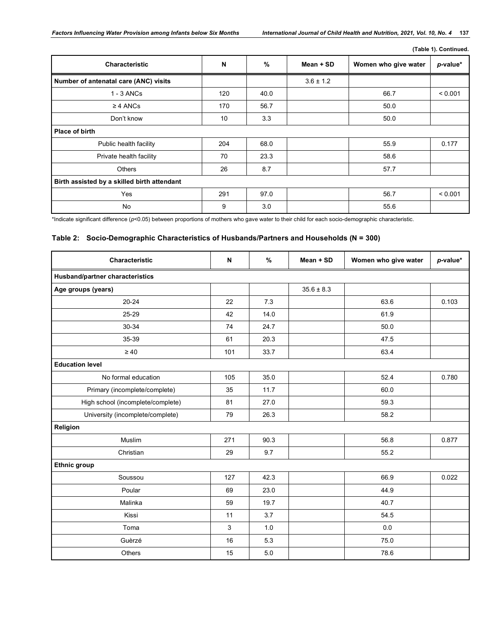|  | (Table 1). Continued. |
|--|-----------------------|
|  |                       |

| <b>Characteristic</b>                       | N   | %    | Mean + SD     | Women who give water | p-value* |
|---------------------------------------------|-----|------|---------------|----------------------|----------|
| Number of antenatal care (ANC) visits       |     |      | $3.6 \pm 1.2$ |                      |          |
| $1 - 3$ ANCs                                | 120 | 40.0 |               | 66.7                 | < 0.001  |
| $\geq$ 4 ANCs                               | 170 | 56.7 |               | 50.0                 |          |
| Don't know                                  | 10  | 3.3  |               | 50.0                 |          |
| <b>Place of birth</b>                       |     |      |               |                      |          |
| Public health facility                      | 204 | 68.0 |               | 55.9                 | 0.177    |
| Private health facility                     | 70  | 23.3 |               | 58.6                 |          |
| Others                                      | 26  | 8.7  |               | 57.7                 |          |
| Birth assisted by a skilled birth attendant |     |      |               |                      |          |
| Yes                                         | 291 | 97.0 |               | 56.7                 | < 0.001  |
| <b>No</b>                                   | 9   | 3.0  |               | 55.6                 |          |

\*Indicate significant difference (*p*<0.05) between proportions of mothers who gave water to their child for each socio-demographic characteristic.

## **Table 2: Socio-Demographic Characteristics of Husbands/Partners and Households (N = 300)**

| <b>Characteristic</b>             | N   | $\%$ | Mean + SD      | Women who give water | p-value* |
|-----------------------------------|-----|------|----------------|----------------------|----------|
| Husband/partner characteristics   |     |      |                |                      |          |
| Age groups (years)                |     |      | $35.6 \pm 8.3$ |                      |          |
| $20 - 24$                         | 22  | 7.3  |                | 63.6                 | 0.103    |
| 25-29                             | 42  | 14.0 |                | 61.9                 |          |
| 30-34                             | 74  | 24.7 |                | 50.0                 |          |
| 35-39                             | 61  | 20.3 |                | 47.5                 |          |
| $\geq 40$                         | 101 | 33.7 |                | 63.4                 |          |
| <b>Education level</b>            |     |      |                |                      |          |
| No formal education               | 105 | 35.0 |                | 52.4                 | 0.780    |
| Primary (incomplete/complete)     | 35  | 11.7 |                | 60.0                 |          |
| High school (incomplete/complete) | 81  | 27.0 |                | 59.3                 |          |
| University (incomplete/complete)  | 79  | 26.3 |                | 58.2                 |          |
| Religion                          |     |      |                |                      |          |
| Muslim                            | 271 | 90.3 |                | 56.8                 | 0.877    |
| Christian                         | 29  | 9.7  |                | 55.2                 |          |
| <b>Ethnic group</b>               |     |      |                |                      |          |
| Soussou                           | 127 | 42.3 |                | 66.9                 | 0.022    |
| Poular                            | 69  | 23.0 |                | 44.9                 |          |
| Malinka                           | 59  | 19.7 |                | 40.7                 |          |
| Kissi                             | 11  | 3.7  |                | 54.5                 |          |
| Toma                              | 3   | 1.0  |                | 0.0                  |          |
| Guèrzé                            | 16  | 5.3  |                | 75.0                 |          |
| Others                            | 15  | 5.0  |                | 78.6                 |          |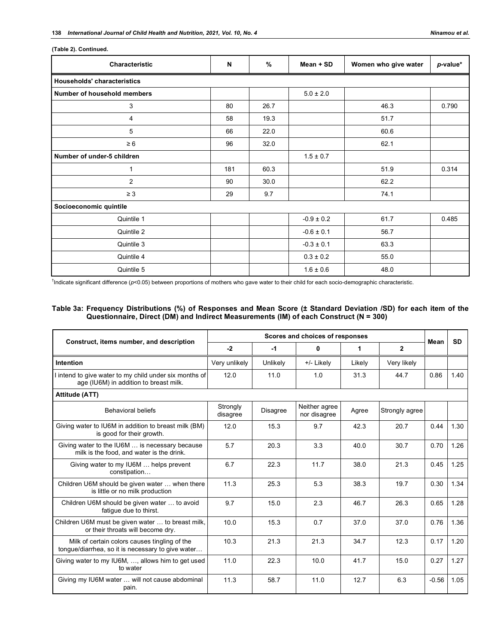|  | (Table 2). Continued. |
|--|-----------------------|
|--|-----------------------|

| Characteristic                     | N   | %    | Mean + SD      | Women who give water | p-value* |
|------------------------------------|-----|------|----------------|----------------------|----------|
| <b>Households' characteristics</b> |     |      |                |                      |          |
| Number of household members        |     |      | $5.0 \pm 2.0$  |                      |          |
| 3                                  | 80  | 26.7 |                | 46.3                 | 0.790    |
| 4                                  | 58  | 19.3 |                | 51.7                 |          |
| 5                                  | 66  | 22.0 |                | 60.6                 |          |
| $\geq 6$                           | 96  | 32.0 |                | 62.1                 |          |
| Number of under-5 children         |     |      | $1.5 \pm 0.7$  |                      |          |
| $\mathbf{1}$                       | 181 | 60.3 |                | 51.9                 | 0.314    |
| $\overline{2}$                     | 90  | 30.0 |                | 62.2                 |          |
| $\geq 3$                           | 29  | 9.7  |                | 74.1                 |          |
| Socioeconomic quintile             |     |      |                |                      |          |
| Quintile 1                         |     |      | $-0.9 \pm 0.2$ | 61.7                 | 0.485    |
| Quintile 2                         |     |      | $-0.6 \pm 0.1$ | 56.7                 |          |
| Quintile 3                         |     |      | $-0.3 \pm 0.1$ | 63.3                 |          |
| Quintile 4                         |     |      | $0.3 \pm 0.2$  | 55.0                 |          |
| Quintile 5                         |     |      | $1.6 \pm 0.6$  | 48.0                 |          |

† Indicate significant difference (*p*<0.05) between proportions of mothers who gave water to their child for each socio-demographic characteristic.

## **Table 3a: Frequency Distributions (%) of Responses and Mean Score (± Standard Deviation /SD) for each item of the Questionnaire, Direct (DM) and Indirect Measurements (IM) of each Construct (N = 300)**

| Construct, items number, and description                                                           |                      |                 | Scores and choices of responses |        |                | Mean    | <b>SD</b> |
|----------------------------------------------------------------------------------------------------|----------------------|-----------------|---------------------------------|--------|----------------|---------|-----------|
|                                                                                                    | $-2$                 | $-1$            | 0                               | 1      | $\mathbf{2}$   |         |           |
| Intention                                                                                          | Very unlikely        | Unlikely        | +/- Likely                      | Likely | Very likely    |         |           |
| I intend to give water to my child under six months of<br>age (IU6M) in addition to breast milk.   | 12.0                 | 11.0            | 1.0                             | 31.3   | 44.7           | 0.86    | 1.40      |
| Attitude (ATT)                                                                                     |                      |                 |                                 |        |                |         |           |
| <b>Behavioral beliefs</b>                                                                          | Strongly<br>disagree | <b>Disagree</b> | Neither agree<br>nor disagree   | Agree  | Strongly agree |         |           |
| Giving water to IU6M in addition to breast milk (BM)<br>is good for their growth.                  | 12.0                 | 15.3            | 9.7                             | 42.3   | 20.7           | 0.44    | 1.30      |
| Giving water to the IU6M  is necessary because<br>milk is the food, and water is the drink.        | 5.7                  | 20.3            | 3.3                             | 40.0   | 30.7           | 0.70    | 1.26      |
| Giving water to my IU6M  helps prevent<br>constipation                                             | 6.7                  | 22.3            | 11.7                            | 38.0   | 21.3           | 0.45    | 1.25      |
| Children U6M should be given water  when there<br>is little or no milk production                  | 11.3                 | 25.3            | 5.3                             | 38.3   | 19.7           | 0.30    | 1.34      |
| Children U6M should be given water  to avoid<br>fatique due to thirst.                             | 9.7                  | 15.0            | 2.3                             | 46.7   | 26.3           | 0.65    | 1.28      |
| Children U6M must be given water  to breast milk,<br>or their throats will become dry.             | 10.0                 | 15.3            | 0.7                             | 37.0   | 37.0           | 0.76    | 1.36      |
| Milk of certain colors causes tingling of the<br>tonque/diarrhea, so it is necessary to give water | 10.3                 | 21.3            | 21.3                            | 34.7   | 12.3           | 0.17    | 1.20      |
| Giving water to my IU6M, , allows him to get used<br>to water                                      | 11.0                 | 22.3            | 10.0                            | 41.7   | 15.0           | 0.27    | 1.27      |
| Giving my IU6M water  will not cause abdominal<br>pain.                                            | 11.3                 | 58.7            | 11.0                            | 12.7   | 6.3            | $-0.56$ | 1.05      |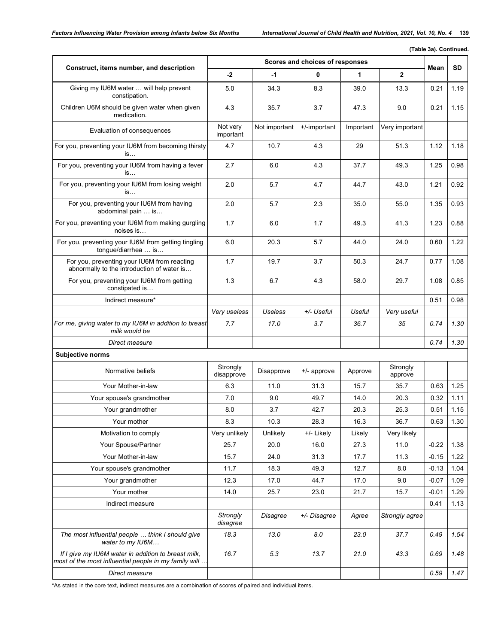| (Table 3a). Continued.                                                                                       |                        |                |                                 |           |                     |         |           |  |  |  |
|--------------------------------------------------------------------------------------------------------------|------------------------|----------------|---------------------------------|-----------|---------------------|---------|-----------|--|--|--|
| Construct, items number, and description                                                                     |                        |                | Scores and choices of responses |           |                     | Mean    | <b>SD</b> |  |  |  |
|                                                                                                              | -2                     | -1             | 0                               | 1         | $\mathbf{2}$        |         |           |  |  |  |
| Giving my IU6M water  will help prevent<br>constipation.                                                     | 5.0                    | 34.3           | 8.3                             | 39.0      | 13.3                | 0.21    | 1.19      |  |  |  |
| Children U6M should be given water when given<br>medication.                                                 | 4.3                    | 35.7           | 3.7                             | 47.3      | 9.0                 | 0.21    | 1.15      |  |  |  |
| Evaluation of consequences                                                                                   | Not very<br>important  | Not important  | +/-important                    | Important | Very important      |         |           |  |  |  |
| For you, preventing your IU6M from becoming thirsty<br>is                                                    | 4.7                    | 10.7           | 4.3                             | 29        | 51.3                | 1.12    | 1.18      |  |  |  |
| For you, preventing your IU6M from having a fever<br>is                                                      | 2.7                    | 6.0            | 4.3                             | 37.7      | 49.3                | 1.25    | 0.98      |  |  |  |
| For you, preventing your IU6M from losing weight<br>is                                                       | 2.0                    | 5.7            | 4.7                             | 44.7      | 43.0                | 1.21    | 0.92      |  |  |  |
| For you, preventing your IU6M from having<br>abdominal pain  is                                              | 2.0                    | 5.7            | 2.3                             | 35.0      | 55.0                | 1.35    | 0.93      |  |  |  |
| For you, preventing your IU6M from making gurgling<br>noises is                                              | 1.7                    | 6.0            | 1.7                             | 49.3      | 41.3                | 1.23    | 0.88      |  |  |  |
| For you, preventing your IU6M from getting tingling<br>tongue/diarrhea  is                                   | 6.0                    | 20.3           | 5.7                             | 44.0      | 24.0                | 0.60    | 1.22      |  |  |  |
| For you, preventing your IU6M from reacting<br>abnormally to the introduction of water is                    | 1.7                    | 19.7           | 3.7                             | 50.3      | 24.7                | 0.77    | 1.08      |  |  |  |
| For you, preventing your IU6M from getting<br>constipated is                                                 | 1.3                    | 6.7            | 4.3                             | 58.0      | 29.7                | 1.08    | 0.85      |  |  |  |
| Indirect measure*                                                                                            |                        |                |                                 |           |                     | 0.51    | 0.98      |  |  |  |
|                                                                                                              | Very useless           | <b>Useless</b> | +/- Useful                      | Useful    | Very useful         |         |           |  |  |  |
| For me, giving water to my IU6M in addition to breast<br>milk would be                                       | 7.7                    | 17.0           | 3.7                             | 36.7      | 35                  | 0.74    | 1.30      |  |  |  |
| Direct measure                                                                                               |                        |                |                                 |           |                     | 0.74    | 1.30      |  |  |  |
| <b>Subjective norms</b>                                                                                      |                        |                |                                 |           |                     |         |           |  |  |  |
| Normative beliefs                                                                                            | Strongly<br>disapprove | Disapprove     | +/- approve                     | Approve   | Strongly<br>approve |         |           |  |  |  |
| Your Mother-in-law                                                                                           | 6.3                    | 11.0           | 31.3                            | 15.7      | 35.7                | 0.63    | 1.25      |  |  |  |
| Your spouse's grandmother                                                                                    | 7.0                    | 9.0            | 49.7                            | 14.0      | 20.3                | 0.32    | 1.11      |  |  |  |
| Your grandmother                                                                                             | 8.0                    | 3.7            | 42.7                            | 20.3      | 25.3                | 0.51    | 1.15      |  |  |  |
| Your mother                                                                                                  | 8.3                    | 10.3           | 28.3                            | 16.3      | 36.7                | 0.63    | 1.30      |  |  |  |
| Motivation to comply                                                                                         | Very unlikely          | Unlikely       | +/- Likely                      | Likely    | Very likely         |         |           |  |  |  |
| Your Spouse/Partner                                                                                          | 25.7                   | 20.0           | 16.0                            | 27.3      | 11.0                | $-0.22$ | 1.38      |  |  |  |
| Your Mother-in-law                                                                                           | 15.7                   | 24.0           | 31.3                            | 17.7      | 11.3                | $-0.15$ | 1.22      |  |  |  |
| Your spouse's grandmother                                                                                    | 11.7                   | 18.3           | 49.3                            | 12.7      | 8.0                 | $-0.13$ | 1.04      |  |  |  |
| Your grandmother                                                                                             | 12.3                   | 17.0           | 44.7                            | 17.0      | 9.0                 | $-0.07$ | 1.09      |  |  |  |
| Your mother                                                                                                  | 14.0                   | 25.7           | 23.0                            | 21.7      | 15.7                | $-0.01$ | 1.29      |  |  |  |
| Indirect measure                                                                                             |                        |                |                                 |           |                     | 0.41    | 1.13      |  |  |  |
|                                                                                                              | Strongly<br>disagree   | Disagree       | +/- Disagree                    | Agree     | Strongly agree      |         |           |  |  |  |
| The most influential people  think I should give<br>water to my IU6M                                         | 18.3                   | 13.0           | 8.0                             | 23.0      | 37.7                | 0.49    | 1.54      |  |  |  |
| If I give my IU6M water in addition to breast milk,<br>most of the most influential people in my family will | 16.7                   | 5.3            | 13.7                            | 21.0      | 43.3                | 0.69    | 1.48      |  |  |  |
| Direct measure                                                                                               |                        |                |                                 |           |                     | 0.59    | 1.47      |  |  |  |

\*As stated in the core text, indirect measures are a combination of scores of paired and individual items.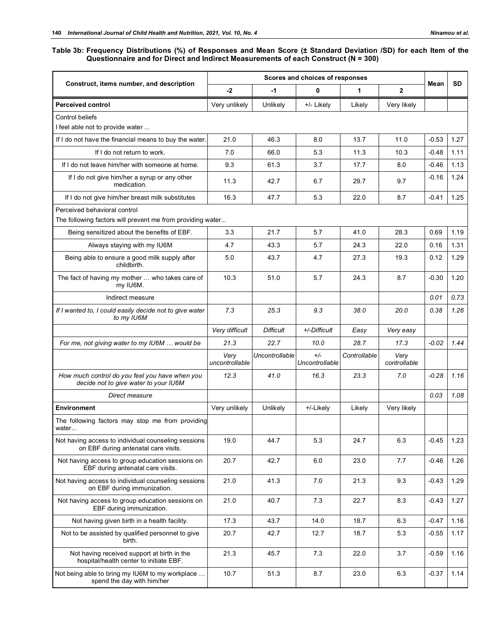## **Table 3b: Frequency Distributions (%) of Responses and Mean Score (± Standard Deviation /SD) for each Item of the**

**Questionnaire and for Direct and Indirect Measurements of each Construct (N = 300)**

|                                                                                             |                        |                     | Scores and choices of responses |              |                      |         |           |
|---------------------------------------------------------------------------------------------|------------------------|---------------------|---------------------------------|--------------|----------------------|---------|-----------|
| Construct, items number, and description                                                    | $-2$                   | $-1$                | 0                               | 1            | $\overline{2}$       | Mean    | <b>SD</b> |
| <b>Perceived control</b>                                                                    | Very unlikely          | Unlikely            | +/- Likely                      | Likely       | Very likely          |         |           |
| Control beliefs                                                                             |                        |                     |                                 |              |                      |         |           |
| I feel able not to provide water                                                            |                        |                     |                                 |              |                      |         |           |
| If I do not have the financial means to buy the water.                                      | 21.0                   | 46.3                | 8.0                             | 13.7         | 11.0                 | $-0.53$ | 1.27      |
| If I do not return to work.                                                                 | 7.0                    | 66.0                | 5.3                             | 11.3         | 10.3                 | $-0.48$ | 1.11      |
| If I do not leave him/her with someone at home.                                             | 9.3                    | 61.3                | 3.7                             | 17.7         | 8.0                  | $-0.46$ | 1.13      |
| If I do not give him/her a syrup or any other<br>medication.                                | 11.3                   | 42.7                | 6.7                             | 29.7         | 9.7                  | $-0.16$ | 1.24      |
| If I do not give him/her breast milk substitutes                                            | 16.3                   | 47.7                | 5.3                             | 22.0         | 8.7                  | $-0.41$ | 1.25      |
| Perceived behavioral control<br>The following factors will prevent me from providing water  |                        |                     |                                 |              |                      |         |           |
| Being sensitized about the benefits of EBF.                                                 | 3.3                    | 21.7                | 5.7                             | 41.0         | 28.3                 | 0.69    | 1.19      |
| Always staying with my IU6M                                                                 | 4.7                    | 43.3                | 5.7                             | 24.3         | 22.0                 | 0.16    | 1.31      |
| Being able to ensure a good milk supply after<br>childbirth.                                | 5.0                    | 43.7                | 4.7                             | 27.3         | 19.3                 | 0.12    | 1.29      |
| The fact of having my mother  who takes care of<br>my IU6M.                                 | 10.3                   | 51.0                | 5.7                             | 24.3         | 8.7                  | $-0.30$ | 1.20      |
| Indirect measure                                                                            |                        |                     |                                 |              |                      | 0.01    | 0.73      |
| If I wanted to, I could easily decide not to give water<br>to my IU6M                       | 7.3                    | 9.3<br>25.3<br>38.0 |                                 | 20.0         | 0.38                 | 1.26    |           |
|                                                                                             | Very difficult         | <b>Difficult</b>    | +/-Difficult                    | Easy         | Very easy            |         |           |
| For me, not giving water to my IU6M  would be                                               | 21.3                   | 22.7                | 10.0                            | 28.7         | 17.3                 | $-0.02$ | 1.44      |
|                                                                                             | Very<br>uncontrollable | Uncontrollable      | $+/-$<br>Uncontrollable         | Controllable | Very<br>controllable |         |           |
| How much control do you feel you have when you<br>decide not to give water to your IU6M     | 12.3                   | 41.0                | 16.3                            | 23.3         | 7.0                  | $-0.28$ | 1.16      |
| Direct measure                                                                              |                        |                     |                                 |              |                      | 0.03    | 1.08      |
| <b>Environment</b>                                                                          | Very unlikely          | Unlikely            | +/-Likely                       | Likely       | Very likely          |         |           |
| The following factors may stop me from providing<br>water                                   |                        |                     |                                 |              |                      |         |           |
| Not having access to individual counseling sessions<br>on EBF during antenatal care visits. | 19.0                   | 44.7                | 5.3                             | 24.7         | 6.3                  | $-0.45$ | 1.23      |
| Not having access to group education sessions on<br>EBF during antenatal care visits.       | 20.7                   | 42.7                | 6.0                             | 23.0         | 7.7                  | $-0.46$ | 1.26      |
| Not having access to individual counseling sessions<br>on EBF during immunization.          | 21.0                   | 41.3                | 7.0                             | 21.3         | 9.3                  | $-0.43$ | 1.29      |
| Not having access to group education sessions on<br>EBF during immunization.                | 21.0                   | 40.7                | 7.3                             | 22.7         | 8.3                  | $-0.43$ | 1.27      |
| Not having given birth in a health facility.                                                | 17.3                   | 43.7                | 14.0                            | 18.7         | 6.3                  | $-0.47$ | 1.16      |
| Not to be assisted by qualified personnel to give<br>birth.                                 | 20.7                   | 42.7                | 12.7                            | 18.7         | 5.3                  | $-0.55$ | 1.17      |
| Not having received support at birth in the<br>hospital/health center to initiate EBF.      | 21.3                   | 45.7                | 7.3                             | 22.0         | 3.7                  | $-0.59$ | 1.16      |
| Not being able to bring my IU6M to my workplace<br>spend the day with him/her               | 10.7                   | 51.3                | 8.7                             | 23.0         | 6.3                  | $-0.37$ | 1.14      |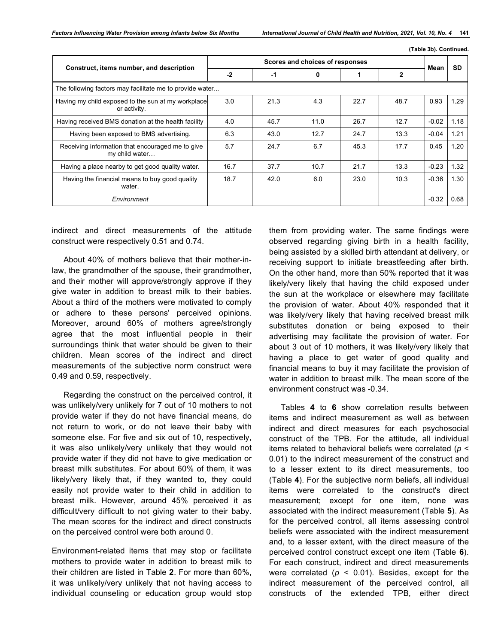**(Table 3b). Continued.**

|                                                                    |      |      |                                 |      |              | $\frac{1}{2}$ . as to be seen to be a set of the set of the set of the set of the set of the set of the set of the set of the set of the set of the set of the set of the set of the set of the set of the set of the set of the |           |
|--------------------------------------------------------------------|------|------|---------------------------------|------|--------------|----------------------------------------------------------------------------------------------------------------------------------------------------------------------------------------------------------------------------------|-----------|
| Construct, items number, and description                           |      |      | Scores and choices of responses |      |              | Mean                                                                                                                                                                                                                             | <b>SD</b> |
|                                                                    | $-2$ | $-1$ | 0                               |      | $\mathbf{2}$ |                                                                                                                                                                                                                                  |           |
| The following factors may facilitate me to provide water           |      |      |                                 |      |              |                                                                                                                                                                                                                                  |           |
| Having my child exposed to the sun at my workplace<br>or activity. | 3.0  | 21.3 | 4.3                             | 22.7 | 48.7         | 0.93                                                                                                                                                                                                                             | 1.29      |
| Having received BMS donation at the health facility                | 4.0  | 45.7 | 11.0                            | 26.7 | 12.7         | $-0.02$                                                                                                                                                                                                                          | 1.18      |
| Having been exposed to BMS advertising.                            | 6.3  | 43.0 | 12.7                            | 24.7 | 13.3         | $-0.04$                                                                                                                                                                                                                          | 1.21      |
| Receiving information that encouraged me to give<br>my child water | 5.7  | 24.7 | 6.7                             | 45.3 | 17.7         | 0.45                                                                                                                                                                                                                             | 1.20      |
| Having a place nearby to get good quality water.                   | 16.7 | 37.7 | 10.7                            | 21.7 | 13.3         | $-0.23$                                                                                                                                                                                                                          | 1.32      |
| Having the financial means to buy good quality<br>water.           | 18.7 | 42.0 | 6.0                             | 23.0 | 10.3         | $-0.36$                                                                                                                                                                                                                          | 1.30      |
| Environment                                                        |      |      |                                 |      |              | $-0.32$                                                                                                                                                                                                                          | 0.68      |

indirect and direct measurements of the attitude construct were respectively 0.51 and 0.74.

About 40% of mothers believe that their mother-inlaw, the grandmother of the spouse, their grandmother, and their mother will approve/strongly approve if they give water in addition to breast milk to their babies. About a third of the mothers were motivated to comply or adhere to these persons' perceived opinions. Moreover, around 60% of mothers agree/strongly agree that the most influential people in their surroundings think that water should be given to their children. Mean scores of the indirect and direct measurements of the subjective norm construct were 0.49 and 0.59, respectively.

Regarding the construct on the perceived control, it was unlikely/very unlikely for 7 out of 10 mothers to not provide water if they do not have financial means, do not return to work, or do not leave their baby with someone else. For five and six out of 10, respectively, it was also unlikely/very unlikely that they would not provide water if they did not have to give medication or breast milk substitutes. For about 60% of them, it was likely/very likely that, if they wanted to, they could easily not provide water to their child in addition to breast milk. However, around 45% perceived it as difficult/very difficult to not giving water to their baby. The mean scores for the indirect and direct constructs on the perceived control were both around 0.

Environment-related items that may stop or facilitate mothers to provide water in addition to breast milk to their children are listed in Table **2**. For more than 60%, it was unlikely/very unlikely that not having access to individual counseling or education group would stop

them from providing water. The same findings were observed regarding giving birth in a health facility, being assisted by a skilled birth attendant at delivery, or receiving support to initiate breastfeeding after birth. On the other hand, more than 50% reported that it was likely/very likely that having the child exposed under the sun at the workplace or elsewhere may facilitate the provision of water. About 40% responded that it was likely/very likely that having received breast milk substitutes donation or being exposed to their advertising may facilitate the provision of water. For about 3 out of 10 mothers, it was likely/very likely that having a place to get water of good quality and financial means to buy it may facilitate the provision of water in addition to breast milk. The mean score of the environment construct was -0.34.

Tables **4** to **6** show correlation results between items and indirect measurement as well as between indirect and direct measures for each psychosocial construct of the TPB. For the attitude, all individual items related to behavioral beliefs were correlated (*p* < 0.01) to the indirect measurement of the construct and to a lesser extent to its direct measurements, too (Table **4**). For the subjective norm beliefs, all individual items were correlated to the construct's direct measurement; except for one item, none was associated with the indirect measurement (Table **5**). As for the perceived control, all items assessing control beliefs were associated with the indirect measurement and, to a lesser extent, with the direct measure of the perceived control construct except one item (Table **6**). For each construct, indirect and direct measurements were correlated  $(p < 0.01)$ . Besides, except for the indirect measurement of the perceived control, all constructs of the extended TPB, either direct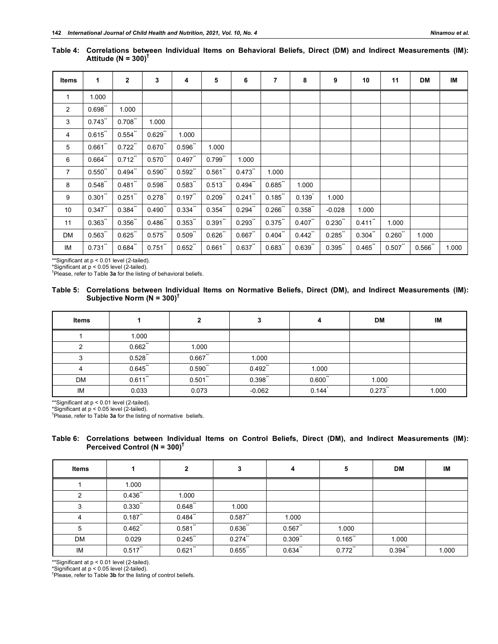| Items          | 1         | $\overline{2}$ | 3         | 4         | 5                     | 6         | 7         | 8         | 9        | 10        | 11        | DM    | IM    |
|----------------|-----------|----------------|-----------|-----------|-----------------------|-----------|-----------|-----------|----------|-----------|-----------|-------|-------|
| 1              | 1.000     |                |           |           |                       |           |           |           |          |           |           |       |       |
| 2              | $0.698$ " | 1.000          |           |           |                       |           |           |           |          |           |           |       |       |
| 3              | 0.743     | $0.708$ "      | 1.000     |           |                       |           |           |           |          |           |           |       |       |
| $\overline{4}$ | 0.615     | $0.554$ "      | $0.629$ " | 1.000     |                       |           |           |           |          |           |           |       |       |
| 5              | $0.661$ " | $0.722$ "      | 0.670     | 0.596     | 1.000                 |           |           |           |          |           |           |       |       |
| 6              | 0.664     | $0.712$ "      | $0.570$ " | 0.497     | $0.799$ <sup>**</sup> | 1.000     |           |           |          |           |           |       |       |
| $\overline{7}$ | $0.550$ " | $0.494$ "      | $0.590$ " | 0.592     | $0.561$ "             | 0.473     | 1.000     |           |          |           |           |       |       |
| 8              | 0.548     | $0.481$ "      | 0.598     | 0.583     | 0.513                 | $0.494$ " | 0.685     | 1.000     |          |           |           |       |       |
| 9              | $0.301$ " | $0.251$ "      | 0.278     | 0.197     | $0.209$ "             | 0.241     | 0.185     | 0.139     | 1.000    |           |           |       |       |
| 10             | $0.347$ " | $0.384$ "      | $0.490$ " | $0.334$ " | $0.354$ "             | 0.294     | 0.266     | $0.358$ " | $-0.028$ | 1.000     |           |       |       |
| 11             | 0.363     | $0.356$ **     | 0.486     | 0.353     | $0.391$ "             | 0.293     | 0.375     | 0.407     | 0.230    | 0.411     | 1.000     |       |       |
| DM             | 0.563     | $0.625$ "      | 0.575     | 0.509     | $0.626$ "             | 0.667     | $0.404$ " | 0.442     | 0.285    | $0.304$ " | $0.260$ " | 1.000 |       |
| IM             | 0.731     | $0.684$ "      | $0.751$ " | 0.652     | $0.661$ "             | $0.637$ " | 0.683     | $0.639$ " | 0.395    | 0.465     | 0.507     | 0.566 | 1.000 |

**Table 4: Correlations between Individual Items on Behavioral Beliefs, Direct (DM) and Indirect Measurements (IM): Attitude (N = 300)†**

\*\*Significant at p < 0.01 level (2-tailed).<br>\*Significant at p < 0.05 level (2-tailed).<br><sup>†</sup>Please, refer to Table **3a** for the listing of behavioral beliefs.

|                                           |  |  |  |  |  | Table 5: Correlations between Individual Items on Normative Beliefs, Direct (DM), and Indirect Measurements (IM): |  |
|-------------------------------------------|--|--|--|--|--|-------------------------------------------------------------------------------------------------------------------|--|
| Subjective Norm (N = $300$ ) <sup>T</sup> |  |  |  |  |  |                                                                                                                   |  |

| <b>Items</b> |           | ∍            |          |           | <b>DM</b> | IM    |
|--------------|-----------|--------------|----------|-----------|-----------|-------|
|              | 1.000     |              |          |           |           |       |
| ົ            | 0.662     | 1.000        |          |           |           |       |
| ົ            | 0.528     | $0.667$ "    | 1.000    |           |           |       |
|              | 0.645     | $0.590^{''}$ | 0.492    | 1.000     |           |       |
| DM           | $0.611$ " | $0.501$ "    | 0.398    | $0.600$ " | 1.000     |       |
| IM           | 0.033     | 0.073        | $-0.062$ | 0.144     | 0.273     | 1.000 |

\*\*Significant at p < 0.01 level (2-tailed).

\*Significant at p < 0.05 level (2-tailed). †

Please, refer to Table **3a** for the listing of normative beliefs.

#### **Table 6: Correlations between Individual Items on Control Beliefs, Direct (DM), and Indirect Measurements (IM): Perceived Control (N = 300)†**

| <b>Items</b>   |            | $\mathbf{2}$ | 3         | 4         | 5         | <b>DM</b> | IM    |
|----------------|------------|--------------|-----------|-----------|-----------|-----------|-------|
|                | 1.000      |              |           |           |           |           |       |
| $\mathcal{P}$  | 0.436      | 1.000        |           |           |           |           |       |
| 3              | $0.330$ "  | 0.648        | 1.000     |           |           |           |       |
| $\overline{4}$ | 0.187      | 0.484        | $0.587$ " | 1.000     |           |           |       |
| 5              | 0.462      | $0.581$ "    | 0.636     | 0.567     | 1.000     |           |       |
| <b>DM</b>      | 0.029      | 0.245        | $0.274$ " | $0.309$ " | 0.165     | 1.000     |       |
| IM             | $0.517$ ** | $0.621$ "    | 0.655     | $0.634$ " | $0.772$ " | $0.394$ " | 1.000 |

\*\*Significant at p < 0.01 level (2-tailed).

\*Significant at p < 0.05 level (2-tailed). †

<sup>†</sup>Please, refer to Table 3b for the listing of control beliefs.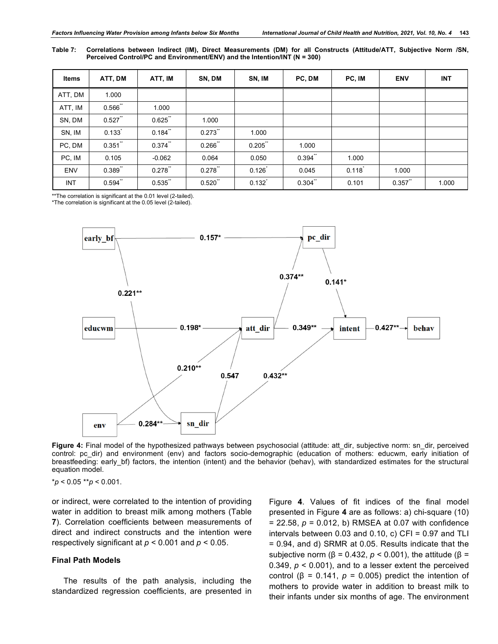**Table 7: Correlations between Indirect (IM), Direct Measurements (DM) for all Constructs (Attitude/ATT, Subjective Norm /SN, Perceived Control/PC and Environment/ENV) and the Intention/INT (N = 300)**

| <b>Items</b> | ATT, DM   | ATT, IM   | SN, DM    | SN, IM    | PC, DM    | PC, IM | <b>ENV</b> | <b>INT</b> |
|--------------|-----------|-----------|-----------|-----------|-----------|--------|------------|------------|
| ATT, DM      | 1.000     |           |           |           |           |        |            |            |
| ATT, IM      | 0.566     | 1.000     |           |           |           |        |            |            |
| SN, DM       | 0.527     | 0.625     | 1.000     |           |           |        |            |            |
| SN, IM       | 0.133     | $0.184$ " | $0.273$ " | 1.000     |           |        |            |            |
| PC, DM       | $0.351$ " | $0.374$ " | $0.266$ * | $0.205$ " | 1.000     |        |            |            |
| PC, IM       | 0.105     | $-0.062$  | 0.064     | 0.050     | $0.394$ " | 1.000  |            |            |
| <b>ENV</b>   | 0.389     | 0.278     | 0.278     | 0.126     | 0.045     | 0.118  | 1.000      |            |
| INT          | 0.594     | $0.535$ " | $0.520$ " | 0.132     | $0.304$ " | 0.101  | 0.357      | 1.000      |

\*\*The correlation is significant at the 0.01 level (2-tailed).

\*The correlation is significant at the 0.05 level (2-tailed).



Figure 4: Final model of the hypothesized pathways between psychosocial (attitude: att dir, subjective norm: sn\_dir, perceived control: pc dir) and environment (env) and factors socio-demographic (education of mothers: educwm, early initiation of breastfeeding: early\_bf) factors, the intention (intent) and the behavior (behav), with standardized estimates for the structural equation model.

\**p* < 0.05 \*\**p* < 0.001.

or indirect, were correlated to the intention of providing water in addition to breast milk among mothers (Table **7**). Correlation coefficients between measurements of direct and indirect constructs and the intention were respectively significant at *p* < 0.001 and *p* < 0.05.

#### **Final Path Models**

The results of the path analysis, including the standardized regression coefficients, are presented in Figure **4**. Values of fit indices of the final model presented in Figure **4** are as follows: a) chi-square (10) = 22.58, *p* = 0.012, b) RMSEA at 0.07 with confidence intervals between  $0.03$  and  $0.10$ , c) CFI =  $0.97$  and TLI = 0.94, and d) SRMR at 0.05. Results indicate that the subjective norm ( $\beta$  = 0.432,  $p$  < 0.001), the attitude ( $\beta$  = 0.349, *p* < 0.001), and to a lesser extent the perceived control ( $β = 0.141$ ,  $p = 0.005$ ) predict the intention of mothers to provide water in addition to breast milk to their infants under six months of age. The environment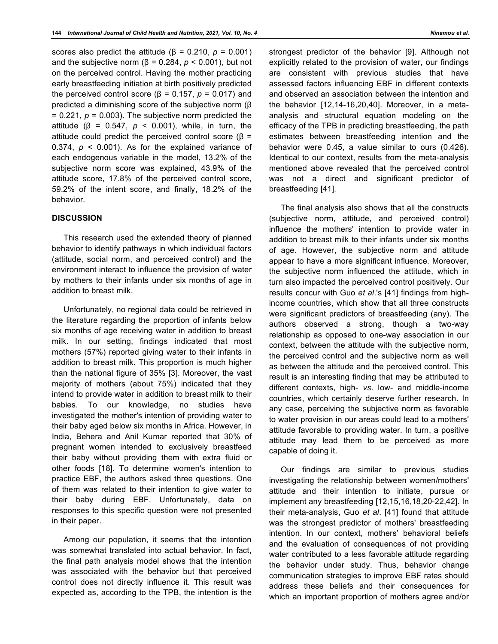scores also predict the attitude ( $β = 0.210, p = 0.001$ ) and the subjective norm ( $β = 0.284$ ,  $p < 0.001$ ), but not on the perceived control. Having the mother practicing early breastfeeding initiation at birth positively predicted the perceived control score ( $β = 0.157$ ,  $p = 0.017$ ) and predicted a diminishing score of the subjective norm (β  $= 0.221$ ,  $p = 0.003$ ). The subjective norm predicted the attitude ( $β = 0.547$ ,  $p < 0.001$ ), while, in turn, the attitude could predict the perceived control score (β = 0.374,  $p \le 0.001$ ). As for the explained variance of each endogenous variable in the model, 13.2% of the subjective norm score was explained, 43.9% of the attitude score, 17.8% of the perceived control score, 59.2% of the intent score, and finally, 18.2% of the behavior.

#### **DISCUSSION**

This research used the extended theory of planned behavior to identify pathways in which individual factors (attitude, social norm, and perceived control) and the environment interact to influence the provision of water by mothers to their infants under six months of age in addition to breast milk.

Unfortunately, no regional data could be retrieved in the literature regarding the proportion of infants below six months of age receiving water in addition to breast milk. In our setting, findings indicated that most mothers (57%) reported giving water to their infants in addition to breast milk. This proportion is much higher than the national figure of 35% [3]. Moreover, the vast majority of mothers (about 75%) indicated that they intend to provide water in addition to breast milk to their babies. To our knowledge, no studies have investigated the mother's intention of providing water to their baby aged below six months in Africa. However, in India, Behera and Anil Kumar reported that 30% of pregnant women intended to exclusively breastfeed their baby without providing them with extra fluid or other foods [18]. To determine women's intention to practice EBF, the authors asked three questions. One of them was related to their intention to give water to their baby during EBF. Unfortunately, data on responses to this specific question were not presented in their paper.

Among our population, it seems that the intention was somewhat translated into actual behavior. In fact, the final path analysis model shows that the intention was associated with the behavior but that perceived control does not directly influence it. This result was expected as, according to the TPB, the intention is the

strongest predictor of the behavior [9]. Although not explicitly related to the provision of water, our findings are consistent with previous studies that have assessed factors influencing EBF in different contexts and observed an association between the intention and the behavior [12,14-16,20,40]. Moreover, in a metaanalysis and structural equation modeling on the efficacy of the TPB in predicting breastfeeding, the path estimates between breastfeeding intention and the behavior were 0.45, a value similar to ours (0.426). Identical to our context, results from the meta-analysis mentioned above revealed that the perceived control was not a direct and significant predictor of breastfeeding [41].

The final analysis also shows that all the constructs (subjective norm, attitude, and perceived control) influence the mothers' intention to provide water in addition to breast milk to their infants under six months of age. However, the subjective norm and attitude appear to have a more significant influence. Moreover, the subjective norm influenced the attitude, which in turn also impacted the perceived control positively. Our results concur with Guo *et al*.'s [41] findings from highincome countries, which show that all three constructs were significant predictors of breastfeeding (any). The authors observed a strong, though a two-way relationship as opposed to one-way association in our context, between the attitude with the subjective norm, the perceived control and the subjective norm as well as between the attitude and the perceived control. This result is an interesting finding that may be attributed to different contexts, high- *vs*. low- and middle-income countries, which certainly deserve further research. In any case, perceiving the subjective norm as favorable to water provision in our areas could lead to a mothers' attitude favorable to providing water. In turn, a positive attitude may lead them to be perceived as more capable of doing it.

Our findings are similar to previous studies investigating the relationship between women/mothers' attitude and their intention to initiate, pursue or implement any breastfeeding [12,15,16,18,20-22,42]. In their meta-analysis, Guo *et al*. [41] found that attitude was the strongest predictor of mothers' breastfeeding intention. In our context, mothers' behavioral beliefs and the evaluation of consequences of not providing water contributed to a less favorable attitude regarding the behavior under study. Thus, behavior change communication strategies to improve EBF rates should address these beliefs and their consequences for which an important proportion of mothers agree and/or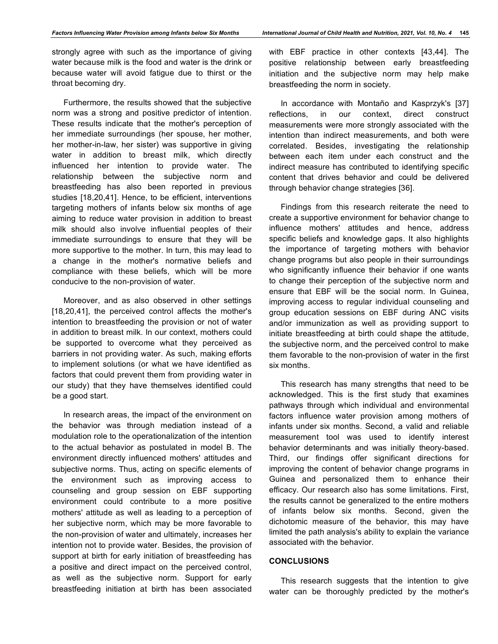strongly agree with such as the importance of giving water because milk is the food and water is the drink or because water will avoid fatigue due to thirst or the throat becoming dry.

Furthermore, the results showed that the subjective norm was a strong and positive predictor of intention. These results indicate that the mother's perception of her immediate surroundings (her spouse, her mother, her mother-in-law, her sister) was supportive in giving water in addition to breast milk, which directly influenced her intention to provide water. The relationship between the subjective norm and breastfeeding has also been reported in previous studies [18,20,41]. Hence, to be efficient, interventions targeting mothers of infants below six months of age aiming to reduce water provision in addition to breast milk should also involve influential peoples of their immediate surroundings to ensure that they will be more supportive to the mother. In turn, this may lead to a change in the mother's normative beliefs and compliance with these beliefs, which will be more conducive to the non-provision of water.

Moreover, and as also observed in other settings [18,20,41], the perceived control affects the mother's intention to breastfeeding the provision or not of water in addition to breast milk. In our context, mothers could be supported to overcome what they perceived as barriers in not providing water. As such, making efforts to implement solutions (or what we have identified as factors that could prevent them from providing water in our study) that they have themselves identified could be a good start.

In research areas, the impact of the environment on the behavior was through mediation instead of a modulation role to the operationalization of the intention to the actual behavior as postulated in model B. The environment directly influenced mothers' attitudes and subjective norms. Thus, acting on specific elements of the environment such as improving access to counseling and group session on EBF supporting environment could contribute to a more positive mothers' attitude as well as leading to a perception of her subjective norm, which may be more favorable to the non-provision of water and ultimately, increases her intention not to provide water. Besides, the provision of support at birth for early initiation of breastfeeding has a positive and direct impact on the perceived control, as well as the subjective norm. Support for early breastfeeding initiation at birth has been associated with EBF practice in other contexts [43,44]. The positive relationship between early breastfeeding initiation and the subjective norm may help make breastfeeding the norm in society.

In accordance with Montaño and Kasprzyk's [37] reflections, in our context, direct construct measurements were more strongly associated with the intention than indirect measurements, and both were correlated. Besides, investigating the relationship between each item under each construct and the indirect measure has contributed to identifying specific content that drives behavior and could be delivered through behavior change strategies [36].

Findings from this research reiterate the need to create a supportive environment for behavior change to influence mothers' attitudes and hence, address specific beliefs and knowledge gaps. It also highlights the importance of targeting mothers with behavior change programs but also people in their surroundings who significantly influence their behavior if one wants to change their perception of the subjective norm and ensure that EBF will be the social norm. In Guinea, improving access to regular individual counseling and group education sessions on EBF during ANC visits and/or immunization as well as providing support to initiate breastfeeding at birth could shape the attitude, the subjective norm, and the perceived control to make them favorable to the non-provision of water in the first six months.

This research has many strengths that need to be acknowledged. This is the first study that examines pathways through which individual and environmental factors influence water provision among mothers of infants under six months. Second, a valid and reliable measurement tool was used to identify interest behavior determinants and was initially theory-based. Third, our findings offer significant directions for improving the content of behavior change programs in Guinea and personalized them to enhance their efficacy. Our research also has some limitations. First, the results cannot be generalized to the entire mothers of infants below six months. Second, given the dichotomic measure of the behavior, this may have limited the path analysis's ability to explain the variance associated with the behavior.

#### **CONCLUSIONS**

This research suggests that the intention to give water can be thoroughly predicted by the mother's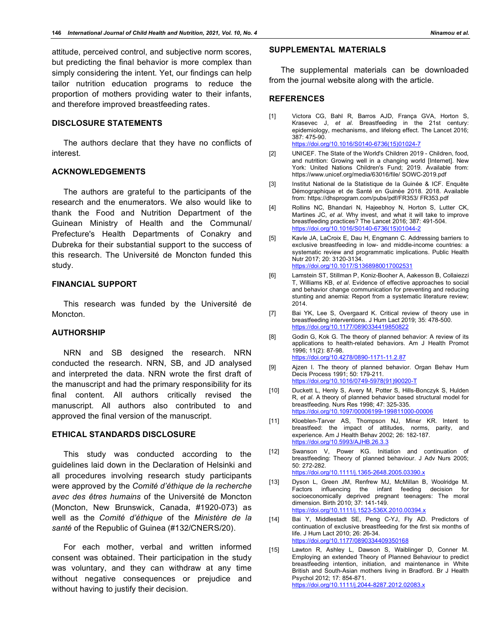attitude, perceived control, and subjective norm scores, but predicting the final behavior is more complex than simply considering the intent. Yet, our findings can help tailor nutrition education programs to reduce the proportion of mothers providing water to their infants, and therefore improved breastfeeding rates.

## **DISCLOSURE STATEMENTS**

The authors declare that they have no conflicts of interest.

#### **ACKNOWLEDGEMENTS**

The authors are grateful to the participants of the research and the enumerators. We also would like to thank the Food and Nutrition Department of the Guinean Ministry of Health and the Communal/ Prefecture's Health Departments of Conakry and Dubreka for their substantial support to the success of this research. The Université de Moncton funded this study.

#### **FINANCIAL SUPPORT**

This research was funded by the Université de Moncton.

#### **AUTHORSHIP**

NRN and SB designed the research. NRN conducted the research. NRN, SB, and JD analysed and interpreted the data. NRN wrote the first draft of the manuscript and had the primary responsibility for its final content. All authors critically revised the manuscript. All authors also contributed to and approved the final version of the manuscript.

#### **ETHICAL STANDARDS DISCLOSURE**

This study was conducted according to the guidelines laid down in the Declaration of Helsinki and all procedures involving research study participants were approved by the *Comité d'éthique de la recherche avec des êtres humains* of the Université de Moncton (Moncton, New Brunswick, Canada, #1920-073) as well as the *Comité d'éthique* of the *Ministère de la santé* of the Republic of Guinea (#132/CNERS/20).

For each mother, verbal and written informed consent was obtained. Their participation in the study was voluntary, and they can withdraw at any time without negative consequences or prejudice and without having to justify their decision.

## **SUPPLEMENTAL MATERIALS**

The supplemental materials can be downloaded from the journal website along with the article.

#### **REFERENCES**

- [1] Victora CG, Bahl R, Barros AJD, França GVA, Horton S, Krasevec J, *et al*. Breastfeeding in the 21st century: epidemiology, mechanisms, and lifelong effect. The Lancet 2016; 387: 475-90. https://doi.org/10.1016/S0140-6736(15)01024-7
- [2] UNICEF. The State of the World's Children 2019 Children, food, and nutrition: Growing well in a changing world [Internet]. New York: United Nations Children's Fund; 2019. Available from: https://www.unicef.org/media/63016/file/ SOWC-2019.pdf
- [3] Institut National de la Statistique de la Guinée & ICF. Enquête Démographique et de Santé en Guinée 2018. 2018. Available from: https://dhsprogram.com/pubs/pdf/FR353/ FR353.pdf
- [4] Rollins NC, Bhandari N, Hajeebhoy N, Horton S, Lutter CK, Martines JC, *et al*. Why invest, and what it will take to improve breastfeeding practices? The Lancet 2016; 387: 491-504. https://doi.org/10.1016/S0140-6736(15)01044-2
- [5] Kavle JA, LaCroix E, Dau H, Engmann C. Addressing barriers to exclusive breastfeeding in low- and middle-income countries: a systematic review and programmatic implications. Public Health Nutr 2017; 20: 3120-3134. https://doi.org/10.1017/S1368980017002531
- [6] Lamstein ST, Stillman P, Koniz-Booher A, Aakesson B, Collaiezzi T, Williams KB, *et al*. Evidence of effective approaches to social and behavior change communication for preventing and reducing stunting and anemia: Report from a systematic literature review; 2014.
- [7] Bai YK, Lee S, Overgaard K. Critical review of theory use in breastfeeding interventions. J Hum Lact 2019; 35: 478-500. https://doi.org/10.1177/0890334419850822
- [8] Godin G, Kok G. The theory of planned behavior: A review of its applications to health-related behaviors. Am J Health Promot 1996; 11(2): 87-98. https://doi.org/10.4278/0890-1171-11.2.87
- [9] Ajzen I. The theory of planned behavior. Organ Behav Hum Decis Process 1991; 50: 179-211. https://doi.org/10.1016/0749-5978(91)90020-T
- [10] Duckett L, Henly S, Avery M, Potter S, Hills-Bonczyk S, Hulden R, *et al*. A theory of planned behavior based structural model for breastfeeding. Nurs Res 1998; 47: 325-335. https://doi.org/10.1097/00006199-199811000-00006
- [11] Kloeblen-Tarver AS, Thompson NJ, Miner KR. Intent to breastfeed: the impact of attitudes, norms, parity, and experience. Am J Health Behav 2002; 26: 182-187. https://doi.org/10.5993/AJHB.26.3.3
- [12] Swanson V, Power KG. Initiation and continuation of breastfeeding: Theory of planned behaviour. J Adv Nurs 2005; 50: 272-282. https://doi.org/10.1111/j.1365-2648.2005.03390.x
- [13] Dyson L, Green JM, Renfrew MJ, McMillan B, Woolridge M. Factors influencing the infant feeding decision for socioeconomically deprived pregnant teenagers: The moral dimension. Birth 2010; 37: 141-149. https://doi.org/10.1111/j.1523-536X.2010.00394.x
- [14] Bai Y, Middlestadt SE, Peng C-YJ, Fly AD. Predictors of continuation of exclusive breastfeeding for the first six months of life. J Hum Lact 2010; 26: 26-34. https://doi.org/10.1177/0890334409350168
- [15] Lawton R, Ashley L, Dawson S, Waiblinger D, Conner M. Employing an extended Theory of Planned Behaviour to predict breastfeeding intention, initiation, and maintenance in White British and South-Asian mothers living in Bradford. Br J Health Psychol 2012; 17: 854-871. https://doi.org/10.1111/j.2044-8287.2012.02083.x